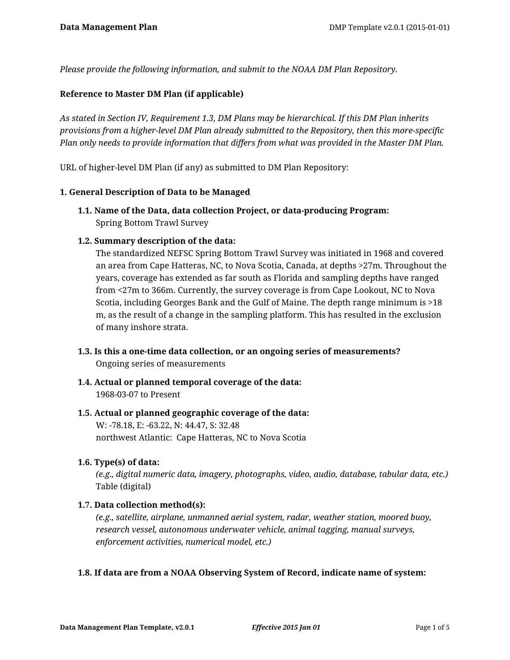*Please provide the following information, and submit to the NOAA DM Plan Repository.*

## **Reference to Master DM Plan (if applicable)**

*As stated in Section IV, Requirement 1.3, DM Plans may be hierarchical. If this DM Plan inherits provisions from a higher-level DM Plan already submitted to the Repository, then this more-specific Plan only needs to provide information that differs from what was provided in the Master DM Plan.*

URL of higher-level DM Plan (if any) as submitted to DM Plan Repository:

### **1. General Description of Data to be Managed**

**1.1. Name of the Data, data collection Project, or data-producing Program:** Spring Bottom Trawl Survey

### **1.2. Summary description of the data:**

The standardized NEFSC Spring Bottom Trawl Survey was initiated in 1968 and covered an area from Cape Hatteras, NC, to Nova Scotia, Canada, at depths >27m. Throughout the years, coverage has extended as far south as Florida and sampling depths have ranged from <27m to 366m. Currently, the survey coverage is from Cape Lookout, NC to Nova Scotia, including Georges Bank and the Gulf of Maine. The depth range minimum is >18 m, as the result of a change in the sampling platform. This has resulted in the exclusion of many inshore strata.

- **1.3. Is this a one-time data collection, or an ongoing series of measurements?** Ongoing series of measurements
- **1.4. Actual or planned temporal coverage of the data:** 1968-03-07 to Present

## **1.5. Actual or planned geographic coverage of the data:** W: -78.18, E: -63.22, N: 44.47, S: 32.48 northwest Atlantic: Cape Hatteras, NC to Nova Scotia

### **1.6. Type(s) of data:**

*(e.g., digital numeric data, imagery, photographs, video, audio, database, tabular data, etc.)* Table (digital)

### **1.7. Data collection method(s):**

*(e.g., satellite, airplane, unmanned aerial system, radar, weather station, moored buoy, research vessel, autonomous underwater vehicle, animal tagging, manual surveys, enforcement activities, numerical model, etc.)*

## **1.8. If data are from a NOAA Observing System of Record, indicate name of system:**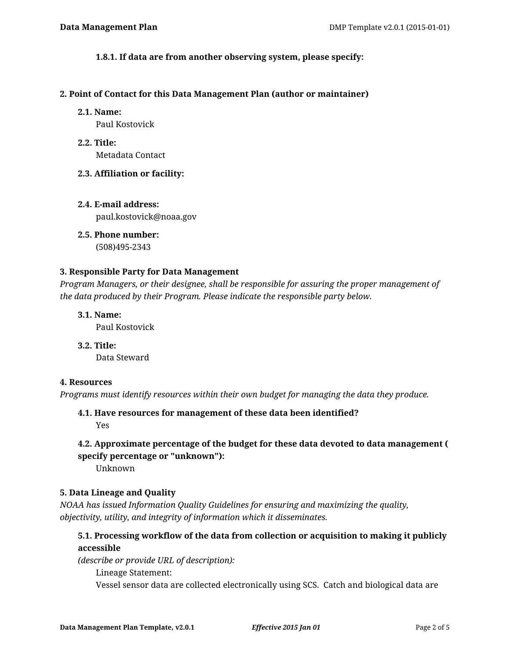## **1.8.1. If data are from another observing system, please specify:**

#### **2. Point of Contact for this Data Management Plan (author or maintainer)**

#### **2.1. Name:**

Paul Kostovick

**2.2. Title:** Metadata Contact

### **2.3. Affiliation or facility:**

**2.4. E-mail address:** paul.kostovick@noaa.gov

**2.5. Phone number:** (508)495-2343

# **3. Responsible Party for Data Management**

*Program Managers, or their designee, shall be responsible for assuring the proper management of the data produced by their Program. Please indicate the responsible party below.*

**3.1. Name:**

Paul Kostovick

**3.2. Title:** Data Steward

### **4. Resources**

*Programs must identify resources within their own budget for managing the data they produce.*

**4.1. Have resources for management of these data been identified?** Yes

## **4.2. Approximate percentage of the budget for these data devoted to data management ( specify percentage or "unknown"):**

Unknown

### **5. Data Lineage and Quality**

*NOAA has issued Information Quality Guidelines for ensuring and maximizing the quality, objectivity, utility, and integrity of information which it disseminates.*

## **5.1. Processing workflow of the data from collection or acquisition to making it publicly accessible**

*(describe or provide URL of description):*

Lineage Statement:

Vessel sensor data are collected electronically using SCS. Catch and biological data are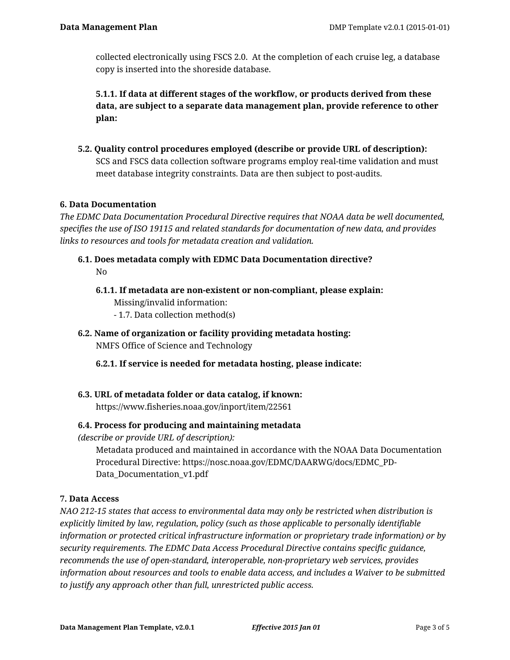collected electronically using FSCS 2.0. At the completion of each cruise leg, a database copy is inserted into the shoreside database.

**5.1.1. If data at different stages of the workflow, or products derived from these data, are subject to a separate data management plan, provide reference to other plan:**

**5.2. Quality control procedures employed (describe or provide URL of description):** SCS and FSCS data collection software programs employ real-time validation and must meet database integrity constraints. Data are then subject to post-audits.

## **6. Data Documentation**

*The EDMC Data Documentation Procedural Directive requires that NOAA data be well documented, specifies the use of ISO 19115 and related standards for documentation of new data, and provides links to resources and tools for metadata creation and validation.*

- **6.1. Does metadata comply with EDMC Data Documentation directive?** No
	- **6.1.1. If metadata are non-existent or non-compliant, please explain:** Missing/invalid information: - 1.7. Data collection method(s)
- **6.2. Name of organization or facility providing metadata hosting:** NMFS Office of Science and Technology
	- **6.2.1. If service is needed for metadata hosting, please indicate:**
- **6.3. URL of metadata folder or data catalog, if known:** https://www.fisheries.noaa.gov/inport/item/22561

## **6.4. Process for producing and maintaining metadata**

*(describe or provide URL of description):*

Metadata produced and maintained in accordance with the NOAA Data Documentation Procedural Directive: https://nosc.noaa.gov/EDMC/DAARWG/docs/EDMC\_PD-Data\_Documentation\_v1.pdf

## **7. Data Access**

*NAO 212-15 states that access to environmental data may only be restricted when distribution is explicitly limited by law, regulation, policy (such as those applicable to personally identifiable information or protected critical infrastructure information or proprietary trade information) or by security requirements. The EDMC Data Access Procedural Directive contains specific guidance, recommends the use of open-standard, interoperable, non-proprietary web services, provides information about resources and tools to enable data access, and includes a Waiver to be submitted to justify any approach other than full, unrestricted public access.*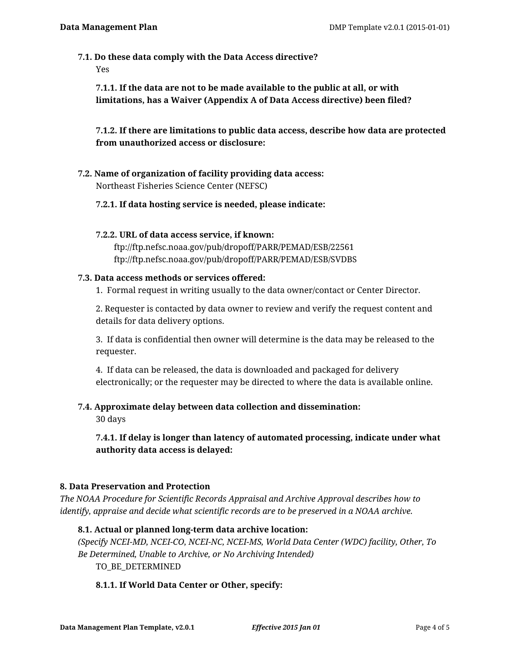**7.1. Do these data comply with the Data Access directive?**

Yes

**7.1.1. If the data are not to be made available to the public at all, or with limitations, has a Waiver (Appendix A of Data Access directive) been filed?**

**7.1.2. If there are limitations to public data access, describe how data are protected from unauthorized access or disclosure:**

**7.2. Name of organization of facility providing data access:** Northeast Fisheries Science Center (NEFSC)

## **7.2.1. If data hosting service is needed, please indicate:**

## **7.2.2. URL of data access service, if known:** ftp://ftp.nefsc.noaa.gov/pub/dropoff/PARR/PEMAD/ESB/22561 ftp://ftp.nefsc.noaa.gov/pub/dropoff/PARR/PEMAD/ESB/SVDBS

### **7.3. Data access methods or services offered:**

1. Formal request in writing usually to the data owner/contact or Center Director.

2. Requester is contacted by data owner to review and verify the request content and details for data delivery options.

3. If data is confidential then owner will determine is the data may be released to the requester.

4. If data can be released, the data is downloaded and packaged for delivery electronically; or the requester may be directed to where the data is available online.

## **7.4. Approximate delay between data collection and dissemination:**

30 days

**7.4.1. If delay is longer than latency of automated processing, indicate under what authority data access is delayed:**

## **8. Data Preservation and Protection**

*The NOAA Procedure for Scientific Records Appraisal and Archive Approval describes how to identify, appraise and decide what scientific records are to be preserved in a NOAA archive.*

## **8.1. Actual or planned long-term data archive location:**

*(Specify NCEI-MD, NCEI-CO, NCEI-NC, NCEI-MS, World Data Center (WDC) facility, Other, To Be Determined, Unable to Archive, or No Archiving Intended)*

TO BE DETERMINED

## **8.1.1. If World Data Center or Other, specify:**